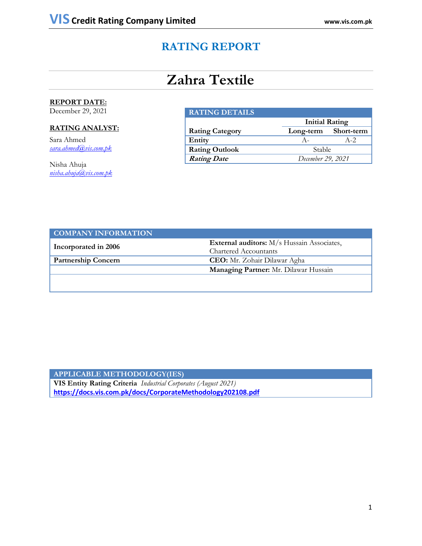# **RATING REPORT**

# **Zahra Textile**

**RATING DETAILS**

# **REPORT DATE:**

December 29, 2021

# **RATING ANALYST:**

Sara Ahmed *[sara.ahmed@vis.com.pk](mailto:sara.ahmed@vis.com.pk)*

Nisha Ahuja *[nisha.ahuja@vis.com.pk](mailto:nisha.ahuja@vis.com.pk)*

| <b>KATING DETAILS</b>  |     |                       |  |  |  |
|------------------------|-----|-----------------------|--|--|--|
|                        |     | <b>Initial Rating</b> |  |  |  |
| <b>Rating Category</b> |     | Long-term Short-term  |  |  |  |
| Entity                 | A – | $A - 2.$              |  |  |  |
| <b>Rating Outlook</b>  |     | <b>Stable</b>         |  |  |  |
| <b>Rating Date</b>     |     | December 29, 2021     |  |  |  |

| <b>COMPANY INFORMATION</b> |                                                   |  |  |
|----------------------------|---------------------------------------------------|--|--|
| Incorporated in 2006       | <b>External auditors:</b> M/s Hussain Associates, |  |  |
|                            | <b>Chartered Accountants</b>                      |  |  |
| <b>Partnership Concern</b> | <b>CEO:</b> Mr. Zohair Dilawar Agha               |  |  |
|                            | Managing Partner: Mr. Dilawar Hussain             |  |  |
|                            |                                                   |  |  |

**APPLICABLE METHODOLOGY(IES) VIS Entity Rating Criteria** *Industrial Corporates (August 2021)*  **<https://docs.vis.com.pk/docs/CorporateMethodology202108.pdf>**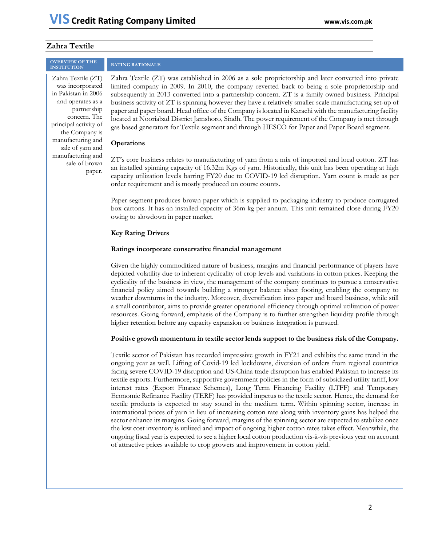# **Zahra Textile**

### **OVERVIEW OF THE RATING RATIONALE** Zahra Textile (ZT) was incorporated in Pakistan in 2006 and operates as a partnership concern. The principal activity of the Company is manufacturing and sale of yarn and manufacturing and sale of brown paper. Zahra Textile (ZT) was established in 2006 as a sole proprietorship and later converted into private limited company in 2009. In 2010, the company reverted back to being a sole proprietorship and subsequently in 2013 converted into a partnership concern. ZT is a family owned business. Principal business activity of ZT is spinning however they have a relatively smaller scale manufacturing set-up of paper and paper board. Head office of the Company is located in Karachi with the manufacturing facility located at Nooriabad District Jamshoro, Sindh. The power requirement of the Company is met through gas based generators for Textile segment and through HESCO for Paper and Paper Board segment. **Operations** ZT's core business relates to manufacturing of yarn from a mix of imported and local cotton. ZT has an installed spinning capacity of 16.32m Kgs of yarn. Historically, this unit has been operating at high capacity utilization levels barring FY20 due to COVID-19 led disruption. Yarn count is made as per order requirement and is mostly produced on course counts. Paper segment produces brown paper which is supplied to packaging industry to produce corrugated box cartons. It has an installed capacity of 36m kg per annum. This unit remained close during FY20 owing to slowdown in paper market. **Key Rating Drivers Ratings incorporate conservative financial management** Given the highly commoditized nature of business, margins and financial performance of players have depicted volatility due to inherent cyclicality of crop levels and variations in cotton prices. Keeping the cyclicality of the business in view, the management of the company continues to pursue a conservative financial policy aimed towards building a stronger balance sheet footing, enabling the company to weather downturns in the industry. Moreover, diversification into paper and board business, while still a small contributor, aims to provide greater operational efficiency through optimal utilization of power resources. Going forward, emphasis of the Company is to further strengthen liquidity profile through higher retention before any capacity expansion or business integration is pursued. **Positive growth momentum in textile sector lends support to the business risk of the Company.**  Textile sector of Pakistan has recorded impressive growth in FY21 and exhibits the same trend in the ongoing year as well. Lifting of Covid-19 led lockdowns, diversion of orders from regional countries facing severe COVID-19 disruption and US-China trade disruption has enabled Pakistan to increase its

textile exports. Furthermore, supportive government policies in the form of subsidized utility tariff, low interest rates (Export Finance Schemes), Long Term Financing Facility (LTFF) and Temporary Economic Refinance Facility (TERF) has provided impetus to the textile sector. Hence, the demand for textile products is expected to stay sound in the medium term. Within spinning sector, increase in international prices of yarn in lieu of increasing cotton rate along with inventory gains has helped the sector enhance its margins. Going forward, margins of the spinning sector are expected to stabilize once the low cost inventory is utilized and impact of ongoing higher cotton rates takes effect. Meanwhile, the ongoing fiscal year is expected to see a higher local cotton production vis-à-vis previous year on account of attractive prices available to crop growers and improvement in cotton yield.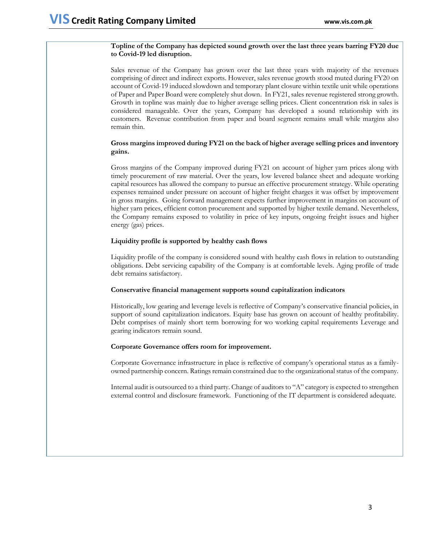# **Topline of the Company has depicted sound growth over the last three years barring FY20 due to Covid-19 led disruption.**

Sales revenue of the Company has grown over the last three years with majority of the revenues comprising of direct and indirect exports. However, sales revenue growth stood muted during FY20 on account of Covid-19 induced slowdown and temporary plant closure within textile unit while operations of Paper and Paper Board were completely shut down. In FY21, sales revenue registered strong growth. Growth in topline was mainly due to higher average selling prices. Client concentration risk in sales is considered manageable. Over the years, Company has developed a sound relationship with its customers. Revenue contribution from paper and board segment remains small while margins also remain thin.

# **Gross margins improved during FY21 on the back of higher average selling prices and inventory gains.**

Gross margins of the Company improved during FY21 on account of higher yarn prices along with timely procurement of raw material. Over the years, low levered balance sheet and adequate working capital resources has allowed the company to pursue an effective procurement strategy. While operating expenses remained under pressure on account of higher freight charges it was offset by improvement in gross margins. Going forward management expects further improvement in margins on account of higher yarn prices, efficient cotton procurement and supported by higher textile demand. Nevertheless, the Company remains exposed to volatility in price of key inputs, ongoing freight issues and higher energy (gas) prices.

## **Liquidity profile is supported by healthy cash flows**

Liquidity profile of the company is considered sound with healthy cash flows in relation to outstanding obligations. Debt servicing capability of the Company is at comfortable levels. Aging profile of trade debt remains satisfactory.

## **Conservative financial management supports sound capitalization indicators**

Historically, low gearing and leverage levels is reflective of Company's conservative financial policies, in support of sound capitalization indicators. Equity base has grown on account of healthy profitability. Debt comprises of mainly short term borrowing for wo working capital requirements Leverage and gearing indicators remain sound.

## **Corporate Governance offers room for improvement.**

Corporate Governance infrastructure in place is reflective of company's operational status as a familyowned partnership concern. Ratings remain constrained due to the organizational status of the company.

Internal audit is outsourced to a third party. Change of auditors to "A" category is expected to strengthen external control and disclosure framework. Functioning of the IT department is considered adequate.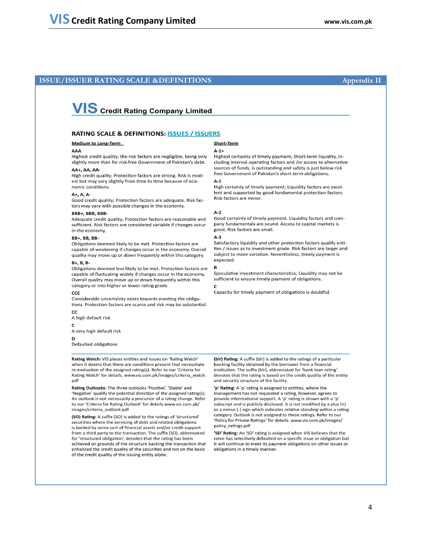### **ISSUE/ISSUER RATING SCALE &DEFINITIONS**

# **VIS** Credit Rating Company Limited

### **RATING SCALE & DEFINITIONS: ISSUES / ISSUERS**

#### **Medium to Long-Term**

#### AAA

Highest credit quality; the risk factors are negligible, being only slightly more than for risk-free Government of Pakistan's debt.

#### AA+, AA, AA-

High credit quality; Protection factors are strong. Risk is modest but may vary slightly from time to time because of economic conditions.

#### A+, A, A

Good credit quality; Protection factors are adequate. Risk factors may vary with possible changes in the economy.

#### BBB+, BBB, BBB-

Adequate credit quality; Protection factors are reasonable and sufficient. Risk factors are considered variable if changes occur in the economy.

#### BB+, BB, BB-

Obligations deemed likely to be met. Protection factors are capable of weakening if changes occur in the economy. Overall quality may move up or down frequently within this category.

#### B+, B, B-

Obligations deemed less likely to be met. Protection factors are capable of fluctuating widely if changes occur in the economy. Overall quality may move up or down frequently within this category or into higher or lower rating grade.

#### CCC

Considerable uncertainty exists towards meeting the obligations. Protection factors are scarce and risk may be substantial.

#### CC

A high default risk

C

A very high default risk

#### D

Defaulted obligations

Rating Watch: VIS places entities and issues on 'Rating Watch' when it deems that there are conditions present that necessitate re-evaluation of the assigned rating(s). Refer to our 'Criteria for Rating Watch' for details. www.vis.com.pk/images/criteria\_watch. pdf

Rating Outlooks: The three outlooks 'Positive', 'Stable' and 'Negative' qualify the potential direction of the assigned rating(s). An outlook is not necessarily a precursor of a rating change. Refer to our 'Criteria for Rating Outlook' for details.www.vis.com.pk/ images/criteria\_outlook.pdf

(SO) Rating: A suffix (SO) is added to the ratings of 'structured' securities where the servicing of debt and related obligations is backed by some sort of financial assets and/or credit support from a third party to the transaction. The suffix (SO), abbreviated for 'structured obligation', denotes that the rating has been achieved on grounds of the structure backing the transaction that enhanced the credit quality of the securities and not on the basis of the credit quality of the issuing entity alone.

# Short-Term

#### $A-1+$

Highest certainty of timely payment; Short-term liquidity, including internal operating factors and /or access to alternative sources of funds, is outstanding and safety is just below risk free Government of Pakistan's short-term obligations.

#### $A-1$

High certainty of timely payment; Liquidity factors are excellent and supported by good fundamental protection factors. Risk factors are minor.

#### $A-2$

Good certainty of timely payment. Liquidity factors and company fundamentals are sound. Access to capital markets is good. Risk factors are small.

#### $A-3$

Satisfactory liquidity and other protection factors qualify entities / issues as to investment grade. Risk factors are larger and subject to more variation. Nevertheless, timely payment is expected.

### B

 $\mathbf{C}$ 

Speculative investment characteristics; Liquidity may not be sufficient to ensure timely payment of obligations.

Capacity for timely payment of obligations is doubtful.

(bir) Rating: A suffix (bir) is added to the ratings of a particular banking facility obtained by the borrower from a financial institution. The suffix (blr), abbreviated for 'bank loan rating' denotes that the rating is based on the credit quality of the entity and security structure of the facility.

'p' Rating: A 'p' rating is assigned to entities, where the management has not requested a rating, however, agrees to provide informational support. A 'p' rating is shown with a 'p' subscript and is publicly disclosed. It is not modified by a plus (+) or a minus (-) sign which indicates relative standing within a rating category. Outlook is not assigned to these ratings. Refer to our 'Policy for Private Ratings' for details. www.vis.com.pk/images/ policy\_ratings.pdf

'SD' Rating: An 'SD' rating is assigned when VIS believes that the ratee has selectively defaulted on a specific issue or obligation but it will continue to meet its payment obligations on other issues or obligations in a timely manner.

## **Appendix II**